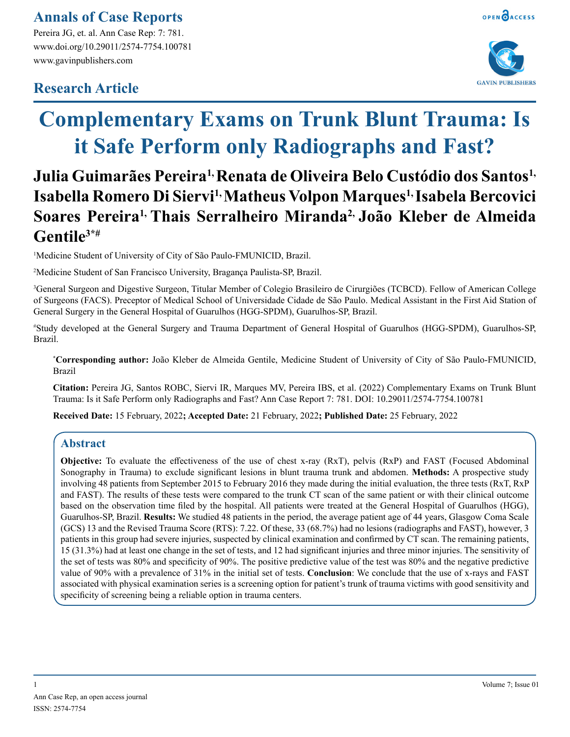## **Annals of Case Reports**

Pereira JG, et. al. Ann Case Rep: 7: 781. www.doi.org/10.29011/2574-7754.100781 www.gavinpublishers.com

## **Research Article**



# **Complementary Exams on Trunk Blunt Trauma: Is it Safe Perform only Radiographs and Fast?**

# **Julia Guimarães Pereira1, Renata de Oliveira Belo Custódio dos Santos1, Isabella Romero Di Siervi1, Matheus Volpon Marques1, Isabela Bercovici Soares Pereira1, Thais Serralheiro Miranda2, João Kleber de Almeida Gentile3\*#**

<sup>1</sup>Medicine Student of University of City of São Paulo-FMUNICID, Brazil.

2 Medicine Student of San Francisco University, Bragança Paulista-SP, Brazil.

3 General Surgeon and Digestive Surgeon, Titular Member of Colegio Brasileiro de Cirurgiões (TCBCD). Fellow of American College of Surgeons (FACS). Preceptor of Medical School of Universidade Cidade de São Paulo. Medical Assistant in the First Aid Station of General Surgery in the General Hospital of Guarulhos (HGG-SPDM), Guarulhos-SP, Brazil.

# Study developed at the General Surgery and Trauma Department of General Hospital of Guarulhos (HGG-SPDM), Guarulhos-SP, Brazil.

**\* Corresponding author:** João Kleber de Almeida Gentile, Medicine Student of University of City of São Paulo-FMUNICID, Brazil

**Citation:** Pereira JG, Santos ROBC, Siervi IR, Marques MV, Pereira IBS, et al. (2022) Complementary Exams on Trunk Blunt Trauma: Is it Safe Perform only Radiographs and Fast? Ann Case Report 7: 781. DOI: 10.29011/2574-7754.100781

**Received Date:** 15 February, 2022**; Accepted Date:** 21 February, 2022**; Published Date:** 25 February, 2022

## **Abstract**

**Objective:** To evaluate the effectiveness of the use of chest x-ray (RxT), pelvis (RxP) and FAST (Focused Abdominal Sonography in Trauma) to exclude significant lesions in blunt trauma trunk and abdomen. **Methods:** A prospective study involving 48 patients from September 2015 to February 2016 they made during the initial evaluation, the three tests (RxT, RxP and FAST). The results of these tests were compared to the trunk CT scan of the same patient or with their clinical outcome based on the observation time filed by the hospital. All patients were treated at the General Hospital of Guarulhos (HGG), Guarulhos-SP, Brazil. **Results:** We studied 48 patients in the period, the average patient age of 44 years, Glasgow Coma Scale (GCS) 13 and the Revised Trauma Score (RTS): 7.22. Of these, 33 (68.7%) had no lesions (radiographs and FAST), however, 3 patients in this group had severe injuries, suspected by clinical examination and confirmed by CT scan. The remaining patients, 15 (31.3%) had at least one change in the set of tests, and 12 had significant injuries and three minor injuries. The sensitivity of the set of tests was 80% and specificity of 90%. The positive predictive value of the test was 80% and the negative predictive value of 90% with a prevalence of 31% in the initial set of tests. **Conclusion**: We conclude that the use of x-rays and FAST associated with physical examination series is a screening option for patient's trunk of trauma victims with good sensitivity and specificity of screening being a reliable option in trauma centers.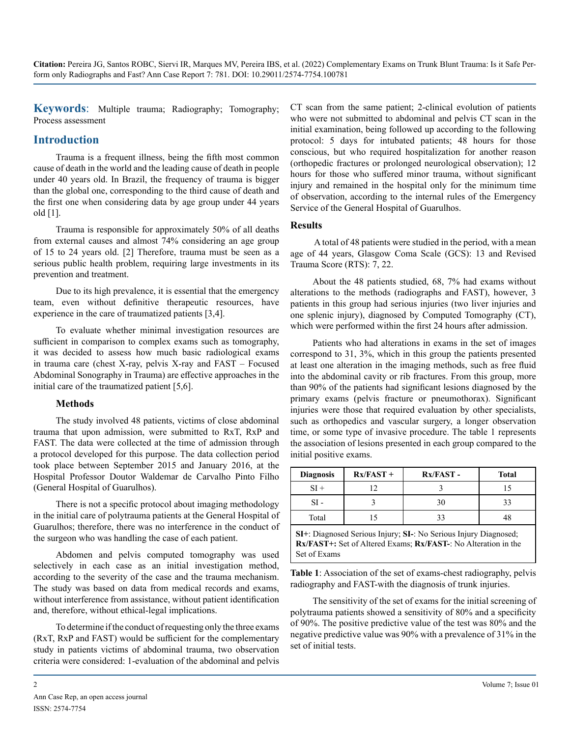**Keywords**: Multiple trauma; Radiography; Tomography; Process assessment

### **Introduction**

Trauma is a frequent illness, being the fifth most common cause of death in the world and the leading cause of death in people under 40 years old. In Brazil, the frequency of trauma is bigger than the global one, corresponding to the third cause of death and the first one when considering data by age group under 44 years old [1].

Trauma is responsible for approximately 50% of all deaths from external causes and almost 74% considering an age group of 15 to 24 years old. [2] Therefore, trauma must be seen as a serious public health problem, requiring large investments in its prevention and treatment.

Due to its high prevalence, it is essential that the emergency team, even without definitive therapeutic resources, have experience in the care of traumatized patients [3,4].

To evaluate whether minimal investigation resources are sufficient in comparison to complex exams such as tomography, it was decided to assess how much basic radiological exams in trauma care (chest X-ray, pelvis X-ray and FAST – Focused Abdominal Sonography in Trauma) are effective approaches in the initial care of the traumatized patient [5,6].

#### **Methods**

The study involved 48 patients, victims of close abdominal trauma that upon admission, were submitted to RxT, RxP and FAST. The data were collected at the time of admission through a protocol developed for this purpose. The data collection period took place between September 2015 and January 2016, at the Hospital Professor Doutor Waldemar de Carvalho Pinto Filho (General Hospital of Guarulhos).

There is not a specific protocol about imaging methodology in the initial care of polytrauma patients at the General Hospital of Guarulhos; therefore, there was no interference in the conduct of the surgeon who was handling the case of each patient.

Abdomen and pelvis computed tomography was used selectively in each case as an initial investigation method, according to the severity of the case and the trauma mechanism. The study was based on data from medical records and exams, without interference from assistance, without patient identification and, therefore, without ethical-legal implications.

To determine if the conduct of requesting only the three exams (RxT, RxP and FAST) would be sufficient for the complementary study in patients victims of abdominal trauma, two observation criteria were considered: 1-evaluation of the abdominal and pelvis

CT scan from the same patient; 2-clinical evolution of patients who were not submitted to abdominal and pelvis CT scan in the initial examination, being followed up according to the following protocol: 5 days for intubated patients; 48 hours for those conscious, but who required hospitalization for another reason (orthopedic fractures or prolonged neurological observation); 12 hours for those who suffered minor trauma, without significant injury and remained in the hospital only for the minimum time of observation, according to the internal rules of the Emergency Service of the General Hospital of Guarulhos.

#### **Results**

A total of 48 patients were studied in the period, with a mean age of 44 years, Glasgow Coma Scale (GCS): 13 and Revised Trauma Score (RTS): 7, 22.

About the 48 patients studied, 68, 7% had exams without alterations to the methods (radiographs and FAST), however, 3 patients in this group had serious injuries (two liver injuries and one splenic injury), diagnosed by Computed Tomography (CT), which were performed within the first 24 hours after admission.

Patients who had alterations in exams in the set of images correspond to 31, 3%, which in this group the patients presented at least one alteration in the imaging methods, such as free fluid into the abdominal cavity or rib fractures. From this group, more than 90% of the patients had significant lesions diagnosed by the primary exams (pelvis fracture or pneumothorax). Significant injuries were those that required evaluation by other specialists, such as orthopedics and vascular surgery, a longer observation time, or some type of invasive procedure. The table 1 represents the association of lesions presented in each group compared to the initial positive exams.

| <b>Diagnosis</b> | $Rx/FAST +$ | Rx/FAST- | <b>Total</b> |
|------------------|-------------|----------|--------------|
|                  |             |          |              |
| SI -             |             | 30       |              |
| Total            |             |          |              |

**SI+**: Diagnosed Serious Injury; **SI-**: No Serious Injury Diagnosed; **Rx/FAST+:** Set of Altered Exams; **Rx/FAST-**: No Alteration in the Set of Exams

**Table 1**: Association of the set of exams-chest radiography, pelvis radiography and FAST-with the diagnosis of trunk injuries.

The sensitivity of the set of exams for the initial screening of polytrauma patients showed a sensitivity of 80% and a specificity of 90%. The positive predictive value of the test was 80% and the negative predictive value was 90% with a prevalence of 31% in the set of initial tests.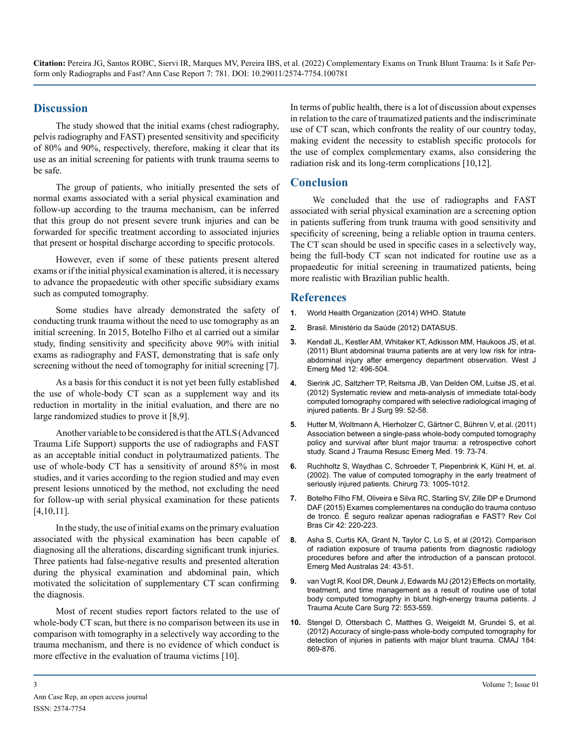**Citation:** Pereira JG, Santos ROBC, Siervi IR, Marques MV, Pereira IBS, et al. (2022) Complementary Exams on Trunk Blunt Trauma: Is it Safe Perform only Radiographs and Fast? Ann Case Report 7: 781. DOI: 10.29011/2574-7754.100781

#### **Discussion**

The study showed that the initial exams (chest radiography, pelvis radiography and FAST) presented sensitivity and specificity of 80% and 90%, respectively, therefore, making it clear that its use as an initial screening for patients with trunk trauma seems to be safe.

The group of patients, who initially presented the sets of normal exams associated with a serial physical examination and follow-up according to the trauma mechanism, can be inferred that this group do not present severe trunk injuries and can be forwarded for specific treatment according to associated injuries that present o[r hospital discharge a](https://www.linguee.pt/ingles-portugues/traducao/hospital+discharge.html)ccording to specific protocols.

However, even if some of these patients present altered exams or if the initial physical examination is altered, it is necessary to advance the [propaedeutic](https://www.linguee.pt/ingles-portugues/traducao/propaedeutic.html) with other specific subsidiary exams such as computed tomography.

Some studies have already demonstrated the safety of conducting trunk trauma without the need to use tomography as an initial screening. In 2015, Botelho Filho et al carried out a similar study, finding sensitivity and specificity above 90% with initial exams as radiography and FAST, demonstrating that is safe only screening without the need of tomography for initial screening [7].

As a basis for this conduct it is not yet been fully established the use of whole-body CT scan as a supplement way and its reduction in mortality in the initial evaluation, and there are no large randomized studies to prove it [8,9].

Another variable to be considered is that the ATLS (Advanced Trauma Life Support) supports the use of radiographs and FAST as an acceptable initial conduct in polytraumatized patients. The use of whole-body CT has a sensitivity of around 85% in most studies, and it varies according to the region studied and may even present lesions unnoticed by the method, not excluding the need for follow-up with serial physical examination for these patients [4,10,11].

In the study, the use of initial exams on the primary evaluation associated with the physical examination has been capable of diagnosing all the alterations, discarding significant trunk injuries. Three patients had false-negative results and presented alteration during the physical examination and abdominal pain, which motivated the solicitation of supplementary CT scan confirming the diagnosis.

Most of recent studies report factors related to the use of whole-body CT scan, but there is no comparison between its use in comparison with tomography in a selectively way according to the trauma mechanism, and there is no evidence of which conduct is more effective in the evaluation of trauma victims [10].

In terms of public health, there is a lot of discussion about expenses in relation to the care of traumatized patients and the indiscriminate use of CT scan, which confronts the reality of our country today, making evident the necessity to establish specific protocols for the use of complex complementary exams, also considering the radiation risk and its long-term complications [10,12].

#### **Conclusion**

We concluded that the use of radiographs and FAST associated with serial physical examination are a screening option in patients suffering from trunk trauma with good sensitivity and specificity of screening, being a reliable option in trauma centers. The CT scan should be used in specific cases in a selectively way, being the full-body CT scan not indicated for routine use as a propaedeutic for initial screening in traumatized patients, being more realistic with Brazilian public health.

#### **References**

- **1.** [World Health Organization \(2014\) WHO. Statute](http://www.who.int/gho/publications/world_health_statistics/2014/en)
- **2.** [Brasil. Ministério da Saúde \(2012\) DATASUS.](http://www2.datasus.gov.br/DATASUS/index.php?area=02)
- **3.** [Kendall JL, Kestler AM, Whitaker KT, Adkisson MM, Haukoos JS, et al.](https://pubmed.ncbi.nlm.nih.gov/22224146/) [\(2011\) Blunt abdominal trauma patients are at very low risk for intra](https://pubmed.ncbi.nlm.nih.gov/22224146/)[abdominal injury after emergency department observation. West J](https://pubmed.ncbi.nlm.nih.gov/22224146/)  [Emerg Med 12: 496-504.](https://pubmed.ncbi.nlm.nih.gov/22224146/)
- **4.** [Sierink JC, Saltzherr TP, Reitsma JB, Van Delden OM, Luitse JS, et al.](https://pubmed.ncbi.nlm.nih.gov/22441856/) [\(2012\) Systematic review and meta-analysis of immediate total-body](https://pubmed.ncbi.nlm.nih.gov/22441856/)  [computed tomography compared with selective radiological imaging of](https://pubmed.ncbi.nlm.nih.gov/22441856/)  [injured patients. Br J Surg 99: 52-58](https://pubmed.ncbi.nlm.nih.gov/22441856/).
- **5.** [Hutter M, Woltmann A, Hierholzer C, Gärtner C, Bühren V, et al. \(2011\)](https://pubmed.ncbi.nlm.nih.gov/22152001/)  [Association between a single-pass whole-body computed tomography](https://pubmed.ncbi.nlm.nih.gov/22152001/)  [policy and survival after blunt major trauma: a retrospective cohort](https://pubmed.ncbi.nlm.nih.gov/22152001/)  [study. Scand J Trauma Resusc Emerg Med. 19: 73-74.](https://pubmed.ncbi.nlm.nih.gov/22152001/)
- **6.** [Ruchholtz S, Waydhas C, Schroeder T, Piepenbrink K, Kühl H, et. al.](https://pubmed.ncbi.nlm.nih.gov/12395159/) [\(2002\). The value of computed tomography in the early treatment of](https://pubmed.ncbi.nlm.nih.gov/12395159/) [seriously injured patients. Chirurg 73: 1005-1012.](https://pubmed.ncbi.nlm.nih.gov/12395159/)
- **7.** [Botelho Filho FM, Oliveira e Silva RC, Starling SV, Zille DP e Drumond](https://www.scielo.br/j/rcbc/a/3SbQ3HKR5BKDsNmGX5gFVwh/?format=pdf&lang=pt) [DAF \(2015\) Exames complementares na condução do trauma contuso](https://www.scielo.br/j/rcbc/a/3SbQ3HKR5BKDsNmGX5gFVwh/?format=pdf&lang=pt)  [de tronco. É seguro realizar apenas radiografias e FAST? Rev Col](https://www.scielo.br/j/rcbc/a/3SbQ3HKR5BKDsNmGX5gFVwh/?format=pdf&lang=pt)  [Bras Cir 42: 220-223.](https://www.scielo.br/j/rcbc/a/3SbQ3HKR5BKDsNmGX5gFVwh/?format=pdf&lang=pt)
- **8.** [Asha S, Curtis KA, Grant N, Taylor C, Lo S, et al \(2012\). Comparison](https://pubmed.ncbi.nlm.nih.gov/22313559/)  [of radiation exposure of trauma patients from diagnostic radiology](https://pubmed.ncbi.nlm.nih.gov/22313559/)  [procedures before and after the introduction of a panscan protocol.](https://pubmed.ncbi.nlm.nih.gov/22313559/)  [Emerg Med Australas 24: 43-51.](https://pubmed.ncbi.nlm.nih.gov/22313559/)
- **9.** [van Vugt R, Kool DR, Deunk J, Edwards MJ \(2012\) Effects on mortality,](https://pubmed.ncbi.nlm.nih.gov/22491536/)  [treatment, and time management as a result of routine use of total](https://pubmed.ncbi.nlm.nih.gov/22491536/)  [body computed tomography in blunt high-energy trauma patients. J](https://pubmed.ncbi.nlm.nih.gov/22491536/)  [Trauma Acute Care Surg 72: 553-559](https://pubmed.ncbi.nlm.nih.gov/22491536/).
- **10.** [Stengel D, Ottersbach C, Matthes G, Weigeldt M, Grundei S, et al.](https://pubmed.ncbi.nlm.nih.gov/22392949/)  [\(2012\) Accuracy of single-pass whole-body computed tomography for](https://pubmed.ncbi.nlm.nih.gov/22392949/)  [detection of injuries in patients with major blunt trauma. CMAJ 184:](https://pubmed.ncbi.nlm.nih.gov/22392949/) [869-876](https://pubmed.ncbi.nlm.nih.gov/22392949/).